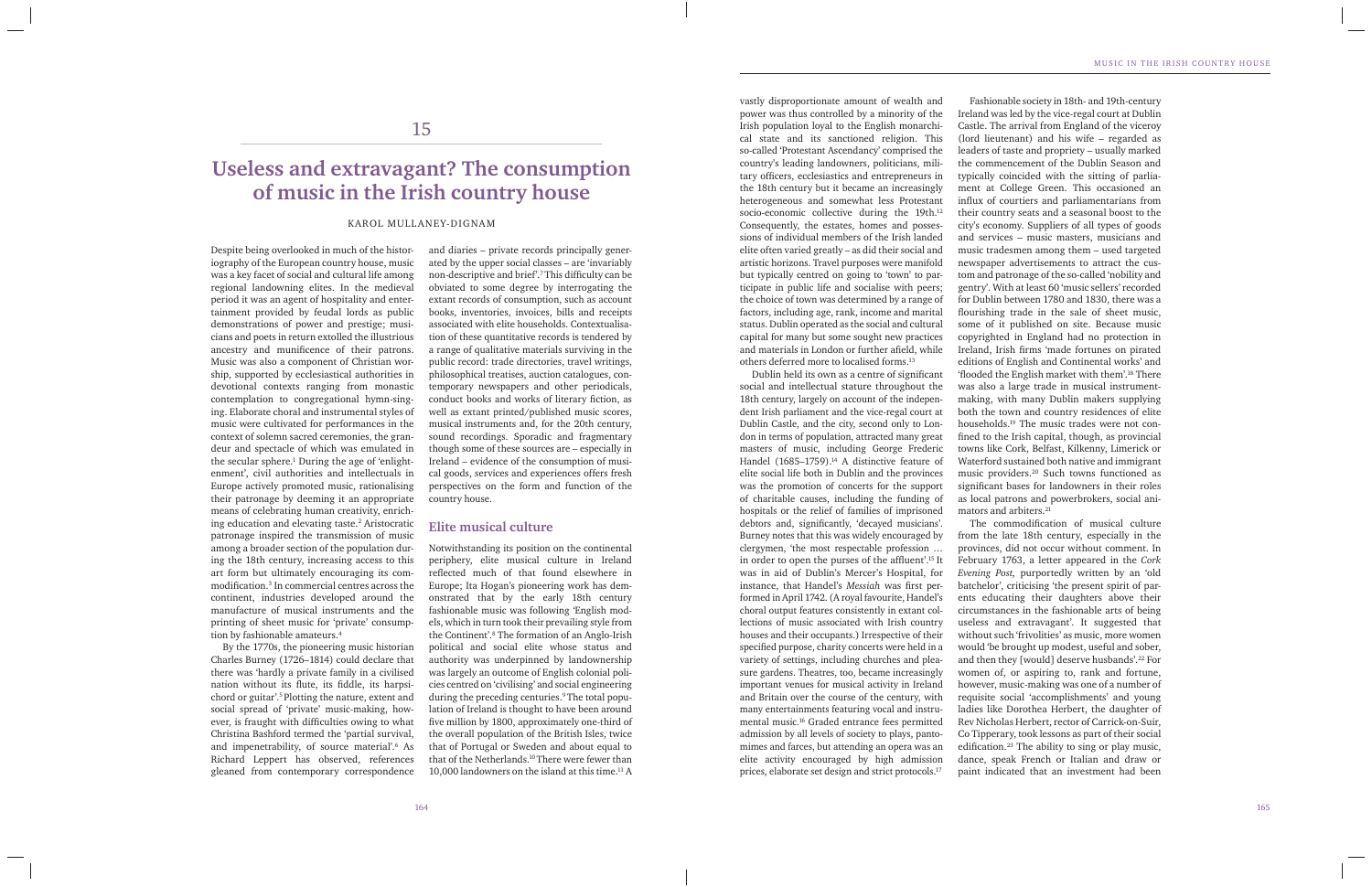Despite being overlooked in much of the historiography of the European country house, music was a key facet of social and cultural life among regional landowning elites. In the medieval period it was an agent of hospitality and entertainment provided by feudal lords as public demonstrations of power and prestige; musicians and poets in return extolled the illustrious ancestry and munificence of their patrons. Music was also a component of Christian worship, supported by ecclesiastical authorities in devotional contexts ranging from monastic contemplation to congregational hymn-singing. Elaborate choral and instrumental styles of music were cultivated for performances in the context of solemn sacred ceremonies, the grandeur and spectacle of which was emulated in the secular sphere.1 During the age of 'enlightenment', civil authorities and intellectuals in Europe actively promoted music, rationalising their patronage by deeming it an appropriate means of celebrating human creativity, enriching education and elevating taste.2 Aristocratic patronage inspired the transmission of music among a broader section of the population during the 18th century, increasing access to this art form but ultimately encouraging its commodification.<sup>3</sup> In commercial centres across the continent, industries developed around the manufacture of musical instruments and the printing of sheet music for 'private' consumption by fashionable amateurs.4

By the 1770s, the pioneering music historian Charles Burney (1726–1814) could declare that there was 'hardly a private family in a civilised nation without its flute, its fiddle, its harpsichord or guitar'.5 Plotting the nature, extent and social spread of 'private' music-making, however, is fraught with difficulties owing to what Christina Bashford termed the 'partial survival, and impenetrability, of source material'.6 As Richard Leppert has observed, references gleaned from contemporary correspondence and diaries – private records principally generated by the upper social classes – are 'invariably non-descriptive and brief'.<sup>7</sup> This difficulty can be obviated to some degree by interrogating the extant records of consumption, such as account books, inventories, invoices, bills and receipts associated with elite households. Contextualisation of these quantitative records is tendered by a range of qualitative materials surviving in the public record: trade directories, travel writings, philosophical treatises, auction catalogues, contemporary newspapers and other periodicals, conduct books and works of literary fiction, as well as extant printed/published music scores, musical instruments and, for the 20th century, sound recordings. Sporadic and fragmentary though some of these sources are – especially in Ireland – evidence of the consumption of musical goods, services and experiences offers fresh perspectives on the form and function of the country house.

# **Elite musical culture**

Dublin held its own as a centre of significant social and intellectual stature throughout the 18th century, largely on account of the independent Irish parliament and the vice-regal court at Dublin Castle, and the city, second only to London in terms of population, attracted many great masters of music, including George Frederic Handel (1685–1759).<sup>14</sup> A distinctive feature of elite social life both in Dublin and the provinces was the promotion of concerts for the support of charitable causes, including the funding of hospitals or the relief of families of imprisoned debtors and, significantly, 'decayed musicians'. Burney notes that this was widely encouraged by clergymen, 'the most respectable profession … in order to open the purses of the affluent'.<sup>15</sup> It was in aid of Dublin's Mercer's Hospital, for instance, that Handel's *Messiah* was first performed in April 1742. (A royal favourite, Handel's choral output features consistently in extant collections of music associated with Irish country houses and their occupants.) Irrespective of their specified purpose, charity concerts were held in a variety of settings, including churches and pleasure gardens. Theatres, too, became increasingly important venues for musical activity in Ireland and Britain over the course of the century, with many entertainments featuring vocal and instrumental music.16 Graded entrance fees permitted admission by all levels of society to plays, pantomimes and farces, but attending an opera was an elite activity encouraged by high admission prices, elaborate set design and strict protocols.17

Notwithstanding its position on the continental periphery, elite musical culture in Ireland reflected much of that found elsewhere in Europe; Ita Hogan's pioneering work has demonstrated that by the early 18th century fashionable music was following 'English models, which in turn took their prevailing style from the Continent'.8 The formation of an Anglo-Irish political and social elite whose status and authority was underpinned by landownership was largely an outcome of English colonial policies centred on 'civilising' and social engineering during the preceding centuries.9 The total population of Ireland is thought to have been around five million by 1800, approximately one-third of the overall population of the British Isles, twice that of Portugal or Sweden and about equal to that of the Netherlands.<sup>10</sup> There were fewer than 10,000 landowners on the island at this time.11 A

# 15

# **Useless and extravagant? The consumption of music in the Irish country house**

#### KAROL MULLANEY-DIGNAM

vastly disproportionate amount of wealth and power was thus controlled by a minority of the Irish population loyal to the English monarchical state and its sanctioned religion. This so-called 'Protestant Ascendancy' comprised the country's leading landowners, politicians, military officers, ecclesiastics and entrepreneurs in the 18th century but it became an increasingly heterogeneous and somewhat less Protestant socio-economic collective during the 19th.<sup>12</sup> Consequently, the estates, homes and possessions of individual members of the Irish landed elite often varied greatly – as did their social and artistic horizons. Travel purposes were manifold but typically centred on going to 'town' to participate in public life and socialise with peers; the choice of town was determined by a range of factors, including age, rank, income and marital status. Dublin operated as the social and cultural capital for many but some sought new practices and materials in London or further afield, while others deferred more to localised forms.13

> The commodification of musical culture from the late 18th century, especially in the provinces, did not occur without comment. In February 1763, a letter appeared in the *Cork Evening Post,* purportedly written by an 'old batchelor', criticising 'the present spirit of parents educating their daughters above their circumstances in the fashionable arts of being useless and extravagant'. It suggested that without such 'frivolities' as music, more women would 'be brought up modest, useful and sober, and then they [would] deserve husbands'.22 For women of, or aspiring to, rank and fortune, however, music-making was one of a number of requisite social 'accomplishments' and young ladies like Dorothea Herbert, the daughter of Rev Nicholas Herbert, rector of Carrick-on-Suir, Co Tipperary, took lessons as part of their social edification.<sup>23</sup> The ability to sing or play music, dance, speak French or Italian and draw or paint indicated that an investment had been

> Fashionable society in 18th- and 19th-century Ireland was led by the vice-regal court at Dublin Castle. The arrival from England of the viceroy (lord lieutenant) and his wife – regarded as leaders of taste and propriety – usually marked the commencement of the Dublin Season and typically coincided with the sitting of parliament at College Green. This occasioned an influx of courtiers and parliamentarians from their country seats and a seasonal boost to the city's economy. Suppliers of all types of goods and services – music masters, musicians and music tradesmen among them – used targeted newspaper advertisements to attract the custom and patronage of the so-called 'nobility and gentry'. With at least 60 'music sellers' recorded for Dublin between 1780 and 1830, there was a flourishing trade in the sale of sheet music, some of it published on site. Because music copyrighted in England had no protection in Ireland, Irish firms 'made fortunes on pirated editions of English and Continental works' and 'flooded the English market with them'.<sup>18</sup> There was also a large trade in musical instrumentmaking, with many Dublin makers supplying both the town and country residences of elite households.19 The music trades were not confined to the Irish capital, though, as provincial towns like Cork, Belfast, Kilkenny, Limerick or Waterford sustained both native and immigrant music providers.20 Such towns functioned as significant bases for landowners in their roles as local patrons and powerbrokers, social animators and arbiters.21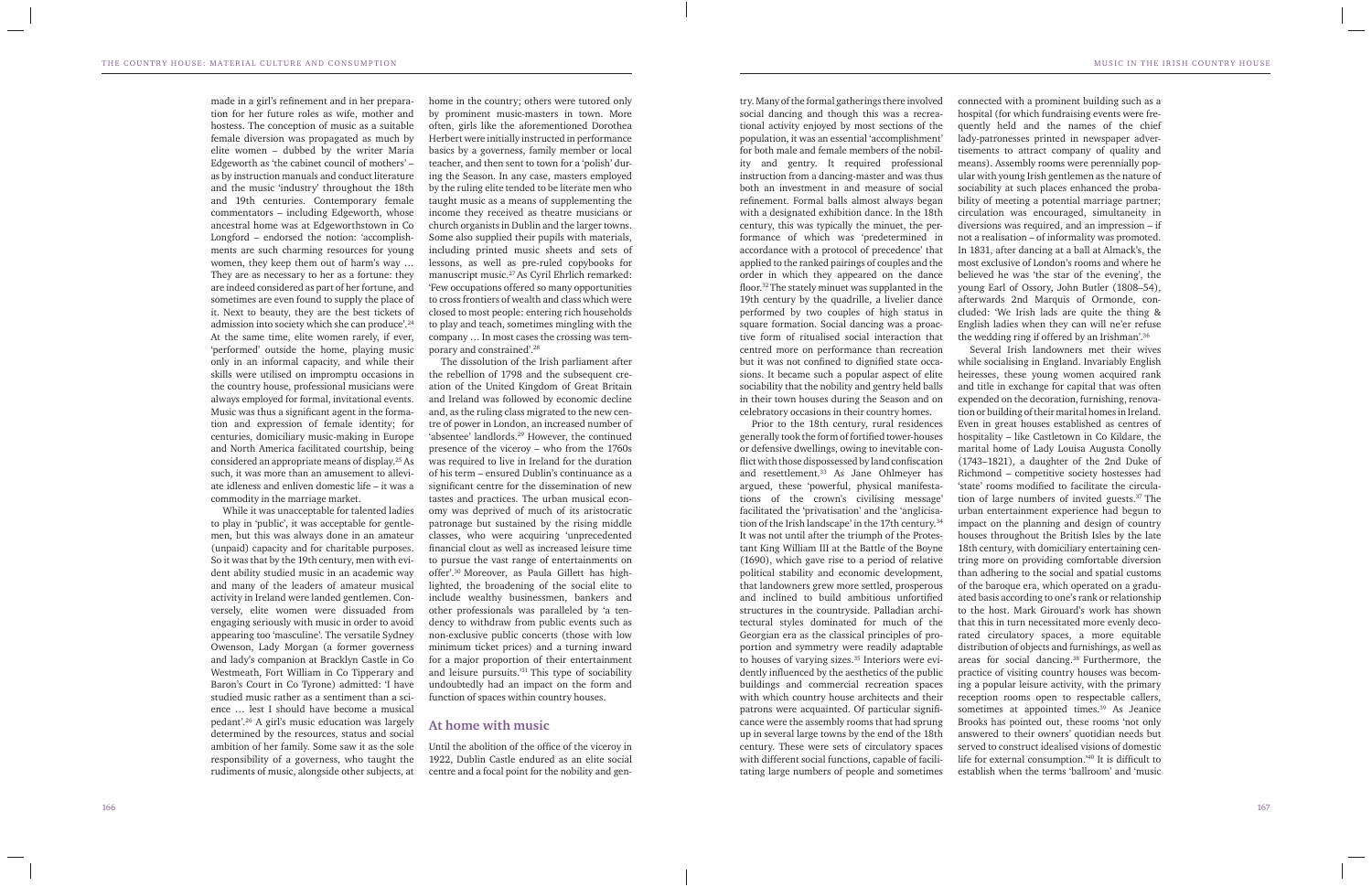made in a girl's refinement and in her preparation for her future roles as wife, mother and hostess. The conception of music as a suitable female diversion was propagated as much by elite women – dubbed by the writer Maria Edgeworth as 'the cabinet council of mothers' – as by instruction manuals and conduct literature and the music 'industry' throughout the 18th and 19th centuries. Contemporary female commentators – including Edgeworth, whose ancestral home was at Edgeworthstown in Co Longford – endorsed the notion: 'accomplishments are such charming resources for young women, they keep them out of harm's way … They are as necessary to her as a fortune: they are indeed considered as part of her fortune, and sometimes are even found to supply the place of it. Next to beauty, they are the best tickets of admission into society which she can produce'.24 At the same time, elite women rarely, if ever, 'performed' outside the home, playing music only in an informal capacity, and while their skills were utilised on impromptu occasions in the country house, professional musicians were always employed for formal, invitational events. Music was thus a significant agent in the formation and expression of female identity; for centuries, domiciliary music-making in Europe and North America facilitated courtship, being considered an appropriate means of display.25 As such, it was more than an amusement to alleviate idleness and enliven domestic life – it was a commodity in the marriage market.

While it was unacceptable for talented ladies to play in 'public', it was acceptable for gentlemen, but this was always done in an amateur (unpaid) capacity and for charitable purposes. So it was that by the 19th century, men with evident ability studied music in an academic way and many of the leaders of amateur musical activity in Ireland were landed gentlemen. Conversely, elite women were dissuaded from engaging seriously with music in order to avoid appearing too 'masculine'. The versatile Sydney Owenson, Lady Morgan (a former governess and lady's companion at Bracklyn Castle in Co Westmeath, Fort William in Co Tipperary and Baron's Court in Co Tyrone) admitted: 'I have studied music rather as a sentiment than a science … lest I should have become a musical pedant'.26 A girl's music education was largely determined by the resources, status and social ambition of her family. Some saw it as the sole responsibility of a governess, who taught the rudiments of music, alongside other subjects, at

Until the abolition of the office of the viceroy in 1922, Dublin Castle endured as an elite social centre and a focal point for the nobility and gen-

home in the country; others were tutored only by prominent music-masters in town. More often, girls like the aforementioned Dorothea Herbert were initially instructed in performance basics by a governess, family member or local teacher, and then sent to town for a 'polish' during the Season. In any case, masters employed by the ruling elite tended to be literate men who taught music as a means of supplementing the income they received as theatre musicians or church organists in Dublin and the larger towns. Some also supplied their pupils with materials, including printed music sheets and sets of lessons, as well as pre-ruled copybooks for manuscript music.27 As Cyril Ehrlich remarked: 'Few occupations offered so many opportunities to cross frontiers of wealth and class which were closed to most people: entering rich households to play and teach, sometimes mingling with the company … In most cases the crossing was temporary and constrained'.28

The dissolution of the Irish parliament after the rebellion of 1798 and the subsequent creation of the United Kingdom of Great Britain and Ireland was followed by economic decline and, as the ruling class migrated to the new centre of power in London, an increased number of 'absentee' landlords.29 However, the continued presence of the viceroy – who from the 1760s was required to live in Ireland for the duration of his term – ensured Dublin's continuance as a significant centre for the dissemination of new tastes and practices. The urban musical economy was deprived of much of its aristocratic patronage but sustained by the rising middle classes, who were acquiring 'unprecedented financial clout as well as increased leisure time to pursue the vast range of entertainments on offer'.30 Moreover, as Paula Gillett has highlighted, the broadening of the social elite to include wealthy businessmen, bankers and other professionals was paralleled by 'a tendency to withdraw from public events such as non-exclusive public concerts (those with low minimum ticket prices) and a turning inward for a major proportion of their entertainment and leisure pursuits.'31 This type of sociability undoubtedly had an impact on the form and function of spaces within country houses.

#### **At home with music**

try. Many of the formal gatherings there involved social dancing and though this was a recreational activity enjoyed by most sections of the population, it was an essential 'accomplishment' for both male and female members of the nobility and gentry. It required professional instruction from a dancing-master and was thus both an investment in and measure of social refinement. Formal balls almost always began with a designated exhibition dance. In the 18th century, this was typically the minuet, the performance of which was 'predetermined in accordance with a protocol of precedence' that applied to the ranked pairings of couples and the order in which they appeared on the dance floor.<sup>32</sup> The stately minuet was supplanted in the 19th century by the quadrille, a livelier dance performed by two couples of high status in square formation. Social dancing was a proactive form of ritualised social interaction that centred more on performance than recreation but it was not confined to dignified state occasions. It became such a popular aspect of elite sociability that the nobility and gentry held balls in their town houses during the Season and on celebratory occasions in their country homes.

Prior to the 18th century, rural residences generally took the form of fortified tower-houses or defensive dwellings, owing to inevitable conflict with those dispossessed by land confiscation and resettlement.<sup>33</sup> As Jane Ohlmeyer has argued, these 'powerful, physical manifestations of the crown's civilising message' facilitated the 'privatisation' and the 'anglicisation of the Irish landscape' in the 17th century.34 It was not until after the triumph of the Protestant King William III at the Battle of the Boyne (1690), which gave rise to a period of relative political stability and economic development, that landowners grew more settled, prosperous and inclined to build ambitious unfortified structures in the countryside. Palladian architectural styles dominated for much of the Georgian era as the classical principles of proportion and symmetry were readily adaptable to houses of varying sizes.35 Interiors were evidently influenced by the aesthetics of the public buildings and commercial recreation spaces with which country house architects and their patrons were acquainted. Of particular significance were the assembly rooms that had sprung up in several large towns by the end of the 18th century. These were sets of circulatory spaces with different social functions, capable of facilitating large numbers of people and sometimes

connected with a prominent building such as a hospital (for which fundraising events were frequently held and the names of the chief lady-patronesses printed in newspaper advertisements to attract company of quality and means). Assembly rooms were perennially popular with young Irish gentlemen as the nature of sociability at such places enhanced the probability of meeting a potential marriage partner; circulation was encouraged, simultaneity in diversions was required, and an impression – if not a realisation – of informality was promoted. In 1831, after dancing at a ball at Almack's, the most exclusive of London's rooms and where he believed he was 'the star of the evening', the young Earl of Ossory, John Butler (1808–54), afterwards 2nd Marquis of Ormonde, concluded: 'We Irish lads are quite the thing & English ladies when they can will ne'er refuse the wedding ring if offered by an Irishman'.36

Several Irish landowners met their wives while socialising in England. Invariably English heiresses, these young women acquired rank and title in exchange for capital that was often expended on the decoration, furnishing, renovation or building of their marital homes in Ireland. Even in great houses established as centres of hospitality – like Castletown in Co Kildare, the marital home of Lady Louisa Augusta Conolly (1743–1821), a daughter of the 2nd Duke of Richmond – competitive society hostesses had 'state' rooms modified to facilitate the circulation of large numbers of invited guests.37 The urban entertainment experience had begun to impact on the planning and design of country houses throughout the British Isles by the late 18th century, with domiciliary entertaining centring more on providing comfortable diversion than adhering to the social and spatial customs of the baroque era, which operated on a graduated basis according to one's rank or relationship to the host. Mark Girouard's work has shown that this in turn necessitated more evenly decorated circulatory spaces, a more equitable distribution of objects and furnishings, as well as areas for social dancing.38 Furthermore, the practice of visiting country houses was becoming a popular leisure activity, with the primary reception rooms open to respectable callers, sometimes at appointed times.<sup>39</sup> As Jeanice Brooks has pointed out, these rooms 'not only answered to their owners' quotidian needs but served to construct idealised visions of domestic life for external consumption.<sup> $40$ </sup> It is difficult to establish when the terms 'ballroom' and 'music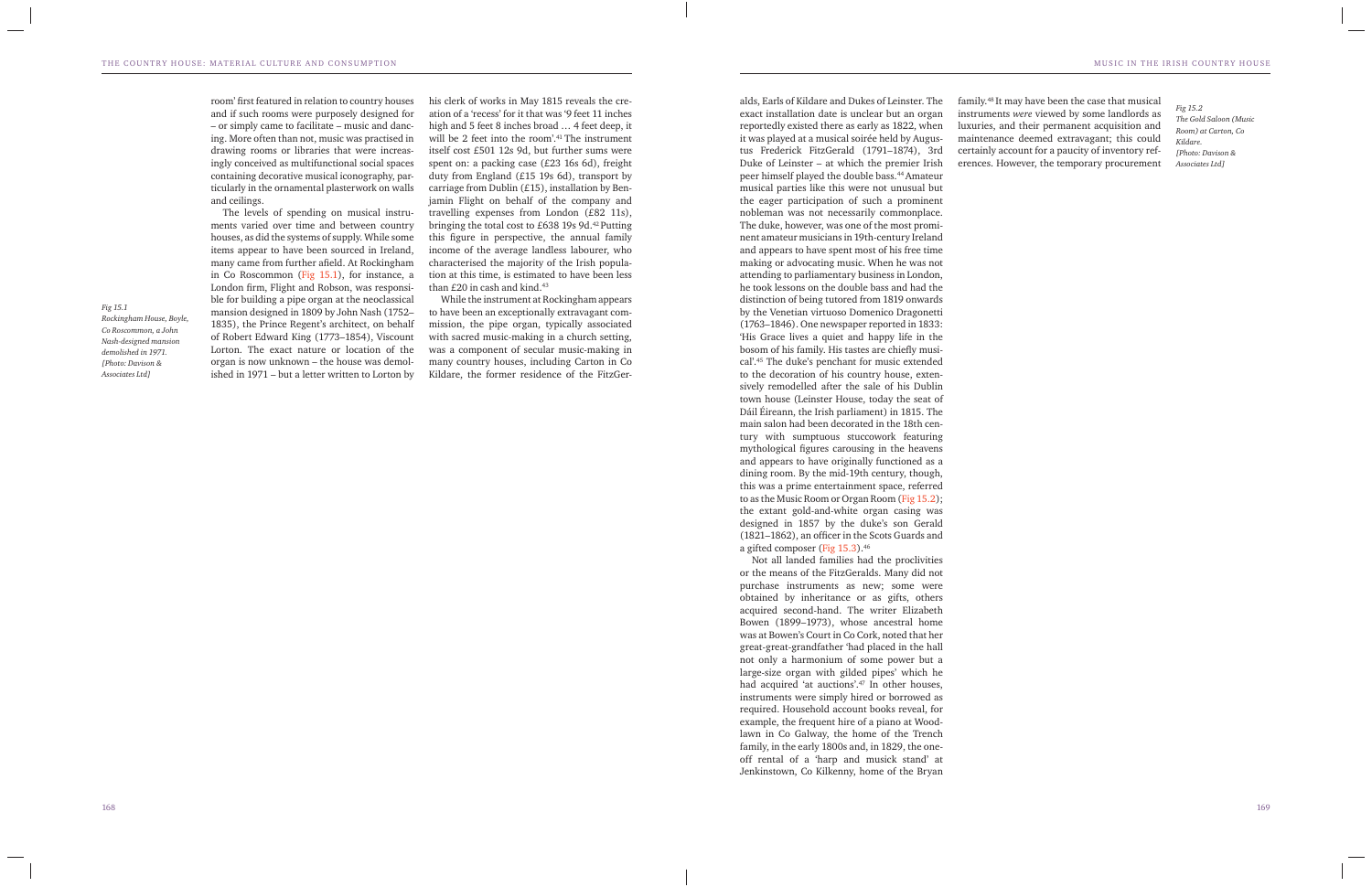*Fig 15.1 Rockingham House, Boyle, Co Roscommon, a John Nash-designed mansion demolished in 1971. [Photo: Davison &* 

*Associates Ltd]*

room' first featured in relation to country houses and if such rooms were purposely designed for – or simply came to facilitate – music and dancing. More often than not, music was practised in drawing rooms or libraries that were increasingly conceived as multifunctional social spaces containing decorative musical iconography, particularly in the ornamental plasterwork on walls and ceilings.

his clerk of works in May 1815 reveals the creation of a 'recess' for it that was '9 feet 11 inches high and 5 feet 8 inches broad ... 4 feet deep, it will be 2 feet into the room'.<sup>41</sup> The instrument itself cost £501 12s 9d, but further sums were spent on: a packing case (£23 16s 6d), freight duty from England (£15 19s 6d), transport by carriage from Dublin (£15), installation by Benjamin Flight on behalf of the company and travelling expenses from London (£82 11s), bringing the total cost to £638 19s 9d.42 Putting this figure in perspective, the annual family income of the average landless labourer, who characterised the majority of the Irish population at this time, is estimated to have been less than  $£20$  in cash and kind.<sup>43</sup>

The levels of spending on musical instruments varied over time and between country houses, as did the systems of supply. While some items appear to have been sourced in Ireland, many came from further afield. At Rockingham in Co Roscommon (Fig 15.1), for instance, a London firm, Flight and Robson, was responsible for building a pipe organ at the neoclassical mansion designed in 1809 by John Nash (1752– 1835), the Prince Regent's architect, on behalf of Robert Edward King (1773–1854), Viscount Lorton. The exact nature or location of the organ is now unknown – the house was demolished in 1971 – but a letter written to Lorton by

While the instrument at Rockingham appears to have been an exceptionally extravagant commission, the pipe organ, typically associated with sacred music-making in a church setting, was a component of secular music-making in many country houses, including Carton in Co Kildare, the former residence of the FitzGer-

alds, Earls of Kildare and Dukes of Leinster. The exact installation date is unclear but an organ reportedly existed there as early as 1822, when it was played at a musical soirée held by Augustus Frederick FitzGerald (1791–1874), 3rd Duke of Leinster – at which the premier Irish peer himself played the double bass.44 Amateur musical parties like this were not unusual but the eager participation of such a prominent nobleman was not necessarily commonplace. The duke, however, was one of the most prominent amateur musicians in 19th-century Ireland and appears to have spent most of his free time making or advocating music. When he was not attending to parliamentary business in London, he took lessons on the double bass and had the distinction of being tutored from 1819 onwards by the Venetian virtuoso Domenico Dragonetti (1763–1846). One newspaper reported in 1833: 'His Grace lives a quiet and happy life in the bosom of his family. His tastes are chiefly musical'.45 The duke's penchant for music extended to the decoration of his country house, extensively remodelled after the sale of his Dublin town house (Leinster House, today the seat of Dáil Éireann, the Irish parliament) in 1815. The main salon had been decorated in the 18th century with sumptuous stuccowork featuring mythological figures carousing in the heavens and appears to have originally functioned as a dining room. By the mid-19th century, though, this was a prime entertainment space, referred to as the Music Room or Organ Room (Fig 15.2); the extant gold-and-white organ casing was designed in 1857 by the duke's son Gerald (1821–1862), an officer in the Scots Guards and a gifted composer (Fig 15.3).46

Not all landed families had the proclivities or the means of the FitzGeralds. Many did not purchase instruments as new; some were obtained by inheritance or as gifts, others acquired second-hand. The writer Elizabeth Bowen (1899–1973), whose ancestral home was at Bowen's Court in Co Cork, noted that her great-great-grandfather 'had placed in the hall not only a harmonium of some power but a large-size organ with gilded pipes' which he had acquired 'at auctions'.47 In other houses, instruments were simply hired or borrowed as required. Household account books reveal, for example, the frequent hire of a piano at Woodlawn in Co Galway, the home of the Trench family, in the early 1800s and, in 1829, the oneoff rental of a 'harp and musick stand' at Jenkinstown, Co Kilkenny, home of the Bryan

family.48 It may have been the case that musical instruments *were* viewed by some landlords as luxuries, and their permanent acquisition and maintenance deemed extravagant; this could certainly account for a paucity of inventory references. However, the temporary procurement

*Fig 15.2 The Gold Saloon (Music Room) at Carton, Co Kildare. [Photo: Davison & Associates Ltd]*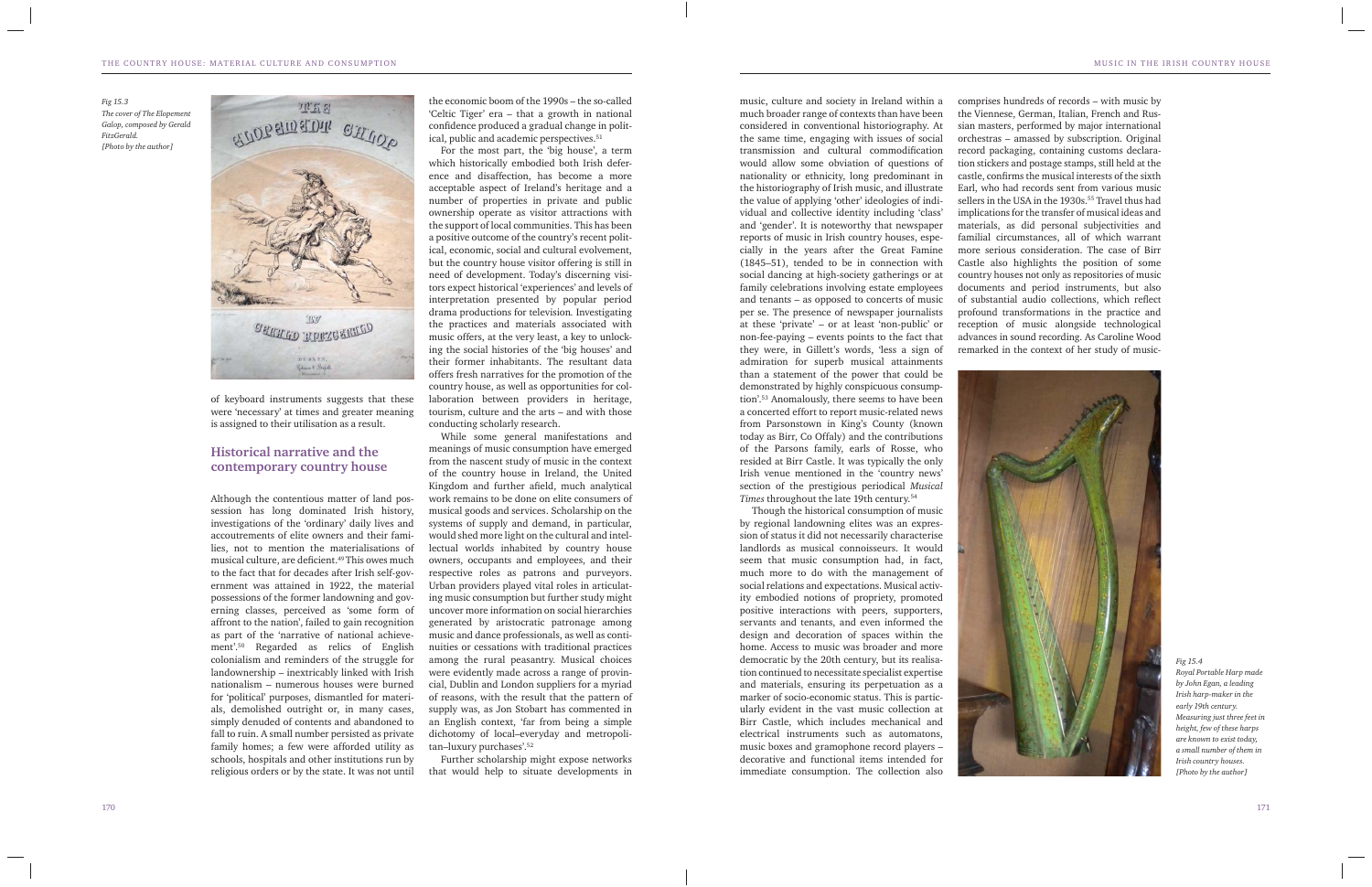*Fig 15.3 The cover of The Elopement Galop, composed by Gerald FitzGerald. [Photo by the author]*



of keyboard instruments suggests that these were 'necessary' at times and greater meaning is assigned to their utilisation as a result.

## **Historical narrative and the contemporary country house**

the economic boom of the 1990s – the so-called 'Celtic Tiger' era – that a growth in national confidence produced a gradual change in political, public and academic perspectives.<sup>51</sup>

Although the contentious matter of land possession has long dominated Irish history, investigations of the 'ordinary' daily lives and accoutrements of elite owners and their families, not to mention the materialisations of musical culture, are deficient.<sup>49</sup> This owes much to the fact that for decades after Irish self-government was attained in 1922, the material possessions of the former landowning and governing classes, perceived as 'some form of affront to the nation', failed to gain recognition as part of the 'narrative of national achievement'.50 Regarded as relics of English colonialism and reminders of the struggle for landownership – inextricably linked with Irish nationalism – numerous houses were burned for 'political' purposes, dismantled for materials, demolished outright or, in many cases, simply denuded of contents and abandoned to fall to ruin. A small number persisted as private family homes; a few were afforded utility as schools, hospitals and other institutions run by religious orders or by the state. It was not until

For the most part, the 'big house', a term which historically embodied both Irish deference and disaffection, has become a more acceptable aspect of Ireland's heritage and a number of properties in private and public ownership operate as visitor attractions with the support of local communities. This has been a positive outcome of the country's recent political, economic, social and cultural evolvement, but the country house visitor offering is still in need of development. Today's discerning visitors expect historical 'experiences' and levels of interpretation presented by popular period drama productions for television*.* Investigating the practices and materials associated with music offers, at the very least, a key to unlocking the social histories of the 'big houses' and their former inhabitants. The resultant data offers fresh narratives for the promotion of the country house, as well as opportunities for collaboration between providers in heritage, tourism, culture and the arts – and with those conducting scholarly research.

While some general manifestations and meanings of music consumption have emerged from the nascent study of music in the context of the country house in Ireland, the United Kingdom and further afield, much analytical work remains to be done on elite consumers of musical goods and services. Scholarship on the systems of supply and demand, in particular, would shed more light on the cultural and intellectual worlds inhabited by country house owners, occupants and employees, and their respective roles as patrons and purveyors. Urban providers played vital roles in articulating music consumption but further study might uncover more information on social hierarchies generated by aristocratic patronage among music and dance professionals, as well as continuities or cessations with traditional practices among the rural peasantry. Musical choices were evidently made across a range of provincial, Dublin and London suppliers for a myriad of reasons, with the result that the pattern of supply was, as Jon Stobart has commented in an English context, 'far from being a simple dichotomy of local–everyday and metropolitan–luxury purchases'.52

Further scholarship might expose networks that would help to situate developments in

music, culture and society in Ireland within a much broader range of contexts than have been considered in conventional historiography. At the same time, engaging with issues of social transmission and cultural commodification would allow some obviation of questions of nationality or ethnicity, long predominant in the historiography of Irish music, and illustrate the value of applying 'other' ideologies of individual and collective identity including 'class' and 'gender'. It is noteworthy that newspaper reports of music in Irish country houses, especially in the years after the Great Famine (1845–51), tended to be in connection with social dancing at high-society gatherings or at family celebrations involving estate employees and tenants – as opposed to concerts of music per se. The presence of newspaper journalists at these 'private' – or at least 'non-public' or non-fee-paying – events points to the fact that they were, in Gillett's words, 'less a sign of admiration for superb musical attainments than a statement of the power that could be demonstrated by highly conspicuous consumption'.53 Anomalously, there seems to have been a concerted effort to report music-related news from Parsonstown in King's County (known today as Birr, Co Offaly) and the contributions of the Parsons family, earls of Rosse, who resided at Birr Castle. It was typically the only Irish venue mentioned in the 'country news' section of the prestigious periodical *Musical Times* throughout the late 19th century.54

Though the historical consumption of music by regional landowning elites was an expression of status it did not necessarily characterise landlords as musical connoisseurs. It would seem that music consumption had, in fact, much more to do with the management of social relations and expectations. Musical activity embodied notions of propriety, promoted positive interactions with peers, supporters, servants and tenants, and even informed the design and decoration of spaces within the home. Access to music was broader and more democratic by the 20th century, but its realisation continued to necessitate specialist expertise and materials, ensuring its perpetuation as a marker of socio-economic status. This is particularly evident in the vast music collection at Birr Castle, which includes mechanical and electrical instruments such as automatons, music boxes and gramophone record players – decorative and functional items intended for immediate consumption. The collection also

comprises hundreds of records – with music by the Viennese, German, Italian, French and Russian masters, performed by major international orchestras – amassed by subscription. Original record packaging, containing customs declaration stickers and postage stamps, still held at the castle, confirms the musical interests of the sixth Earl, who had records sent from various music sellers in the USA in the 1930s.<sup>55</sup> Travel thus had implications for the transfer of musical ideas and materials, as did personal subjectivities and familial circumstances, all of which warrant more serious consideration. The case of Birr Castle also highlights the position of some country houses not only as repositories of music documents and period instruments, but also of substantial audio collections, which reflect profound transformations in the practice and reception of music alongside technological advances in sound recording. As Caroline Wood remarked in the context of her study of music-



*Fig 15.4 Royal Portable Harp made by John Egan, a leading Irish harp-maker in the early 19th century. Measuring just three feet in height, few of these harps are known to exist today, a small number of them in Irish country houses. [Photo by the author]*